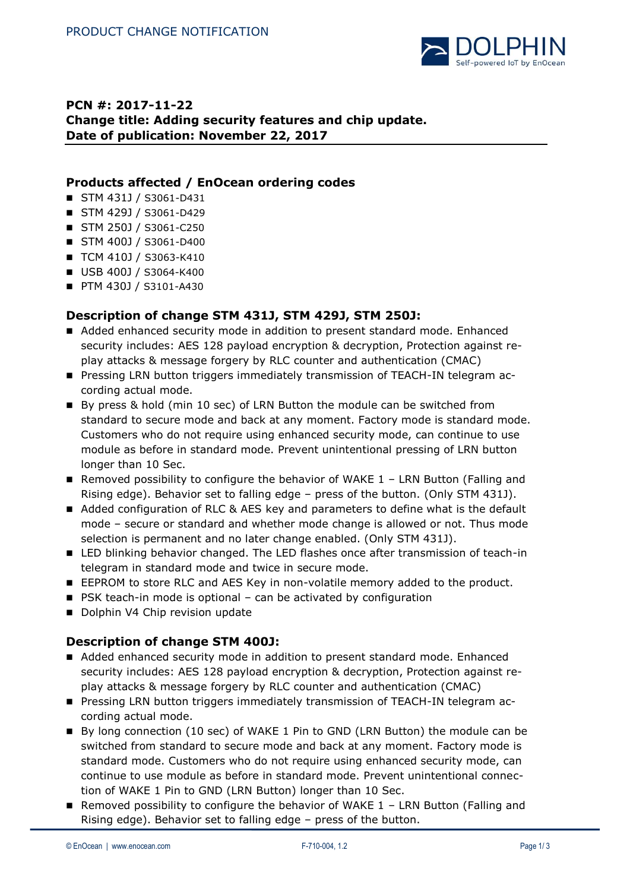

# **PCN #: 2017-11-22 Change title: Adding security features and chip update. Date of publication: November 22, 2017**

### **Products affected / EnOcean ordering codes**

- STM 431J / S3061-D431
- STM 429J / S3061-D429
- STM 250J / S3061-C250
- STM 400J / S3061-D400
- TCM 410J / S3063-K410
- USB 400J / S3064-K400
- **PTM 430J / S3101-A430**

### **Description of change STM 431J, STM 429J, STM 250J:**

- Added enhanced security mode in addition to present standard mode. Enhanced security includes: AES 128 payload encryption & decryption, Protection against replay attacks & message forgery by RLC counter and authentication (CMAC)
- **Pressing LRN button triggers immediately transmission of TEACH-IN telegram ac**cording actual mode.
- By press & hold (min 10 sec) of LRN Button the module can be switched from standard to secure mode and back at any moment. Factory mode is standard mode. Customers who do not require using enhanced security mode, can continue to use module as before in standard mode. Prevent unintentional pressing of LRN button longer than 10 Sec.
- Removed possibility to configure the behavior of WAKE  $1$  LRN Button (Falling and Rising edge). Behavior set to falling edge – press of the button. (Only STM 431J).
- Added configuration of RLC & AES key and parameters to define what is the default mode – secure or standard and whether mode change is allowed or not. Thus mode selection is permanent and no later change enabled. (Only STM 431J).
- **LED blinking behavior changed. The LED flashes once after transmission of teach-in** telegram in standard mode and twice in secure mode.
- EEPROM to store RLC and AES Key in non-volatile memory added to the product.
- $\blacksquare$  PSK teach-in mode is optional can be activated by configuration
- Dolphin V4 Chip revision update

### **Description of change STM 400J:**

- Added enhanced security mode in addition to present standard mode. Enhanced security includes: AES 128 payload encryption & decryption, Protection against replay attacks & message forgery by RLC counter and authentication (CMAC)
- **Pressing LRN button triggers immediately transmission of TEACH-IN telegram ac**cording actual mode.
- By long connection (10 sec) of WAKE 1 Pin to GND (LRN Button) the module can be switched from standard to secure mode and back at any moment. Factory mode is standard mode. Customers who do not require using enhanced security mode, can continue to use module as before in standard mode. Prevent unintentional connection of WAKE 1 Pin to GND (LRN Button) longer than 10 Sec.
- Removed possibility to configure the behavior of WAKE 1 LRN Button (Falling and Rising edge). Behavior set to falling edge – press of the button.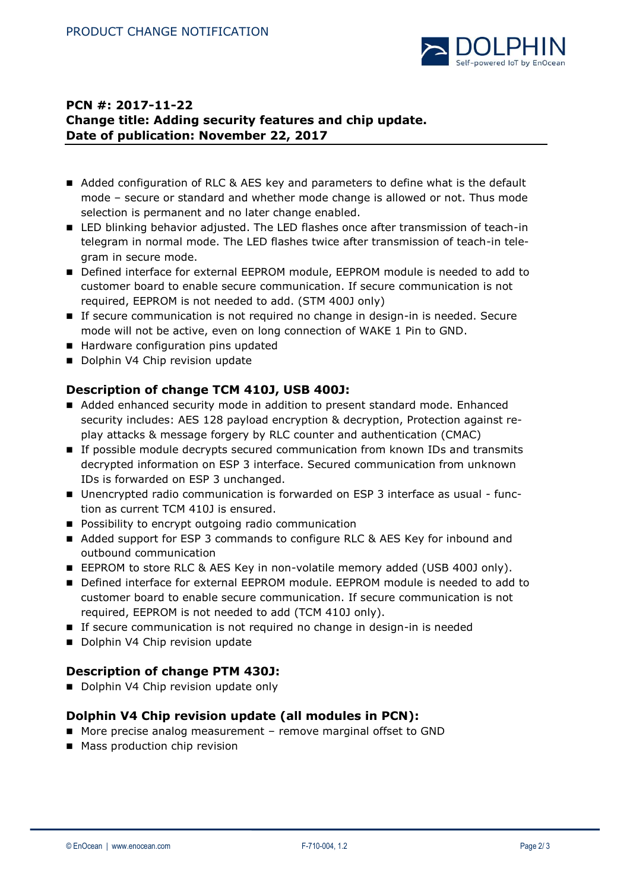

# **PCN #: 2017-11-22 Change title: Adding security features and chip update. Date of publication: November 22, 2017**

- Added configuration of RLC & AES key and parameters to define what is the default mode – secure or standard and whether mode change is allowed or not. Thus mode selection is permanent and no later change enabled.
- LED blinking behavior adjusted. The LED flashes once after transmission of teach-in telegram in normal mode. The LED flashes twice after transmission of teach-in telegram in secure mode.
- Defined interface for external EEPROM module, EEPROM module is needed to add to customer board to enable secure communication. If secure communication is not required, EEPROM is not needed to add. (STM 400J only)
- If secure communication is not required no change in design-in is needed. Secure mode will not be active, even on long connection of WAKE 1 Pin to GND.
- Hardware configuration pins updated
- Dolphin V4 Chip revision update

## **Description of change TCM 410J, USB 400J:**

- Added enhanced security mode in addition to present standard mode. Enhanced security includes: AES 128 payload encryption & decryption, Protection against replay attacks & message forgery by RLC counter and authentication (CMAC)
- If possible module decrypts secured communication from known IDs and transmits decrypted information on ESP 3 interface. Secured communication from unknown IDs is forwarded on ESP 3 unchanged.
- Unencrypted radio communication is forwarded on ESP 3 interface as usual function as current TCM 410J is ensured.
- **Possibility to encrypt outgoing radio communication**
- Added support for ESP 3 commands to configure RLC & AES Key for inbound and outbound communication
- EEPROM to store RLC & AES Key in non-volatile memory added (USB 400J only).
- Defined interface for external EEPROM module. EEPROM module is needed to add to customer board to enable secure communication. If secure communication is not required, EEPROM is not needed to add (TCM 410J only).
- **If secure communication is not required no change in design-in is needed**
- Dolphin V4 Chip revision update

## **Description of change PTM 430J:**

Dolphin V4 Chip revision update only

## **Dolphin V4 Chip revision update (all modules in PCN):**

- More precise analog measurement remove marginal offset to GND
- **Mass production chip revision**